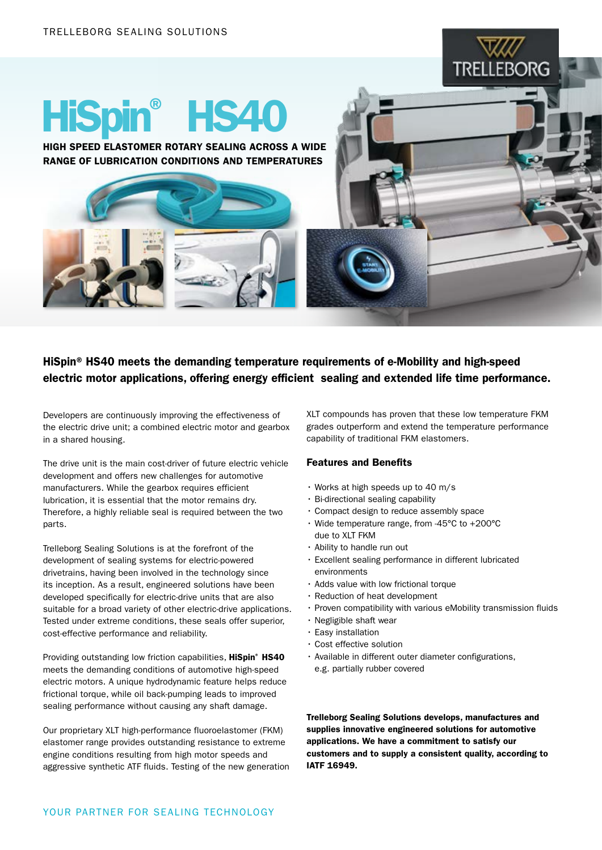

# HiSpin® HS40

HIGH SPEED ELASTOMER ROTARY SEALING ACROSS A WIDE RANGE OF LUBRICATION CONDITIONS AND TEMPERATURES

# HiSpin® HS40 meets the demanding temperature requirements of e-Mobility and high-speed electric motor applications, offering energy efficient sealing and extended life time performance.

Developers are continuously improving the effectiveness of the electric drive unit; a combined electric motor and gearbox in a shared housing.

The drive unit is the main cost-driver of future electric vehicle development and offers new challenges for automotive manufacturers. While the gearbox requires efficient lubrication, it is essential that the motor remains dry. Therefore, a highly reliable seal is required between the two parts.

Trelleborg Sealing Solutions is at the forefront of the development of sealing systems for electric-powered drivetrains, having been involved in the technology since its inception. As a result, engineered solutions have been developed specifically for electric-drive units that are also suitable for a broad variety of other electric-drive applications. Tested under extreme conditions, these seals offer superior, cost-effective performance and reliability.

Providing outstanding low friction capabilities, HiSpin® HS40 meets the demanding conditions of automotive high-speed electric motors. A unique hydrodynamic feature helps reduce frictional torque, while oil back-pumping leads to improved sealing performance without causing any shaft damage.

Our proprietary XLT high-performance fluoroelastomer (FKM) elastomer range provides outstanding resistance to extreme engine conditions resulting from high motor speeds and aggressive synthetic ATF fluids. Testing of the new generation XLT compounds has proven that these low temperature FKM grades outperform and extend the temperature performance capability of traditional FKM elastomers.

## Features and Benefits

- Works at high speeds up to 40 m/s
- Bi-directional sealing capability
- Compact design to reduce assembly space
- Wide temperature range, from -45°C to +200°C due to XLT FKM
- Ability to handle run out
- Excellent sealing performance in different lubricated environments
- Adds value with low frictional torque
- Reduction of heat development
- Proven compatibility with various eMobility transmission fluids
- Negligible shaft wear
- Easy installation
- Cost effective solution
- Available in different outer diameter configurations, e.g. partially rubber covered

Trelleborg Sealing Solutions develops, manufactures and supplies innovative engineered solutions for automotive applications. We have a commitment to satisfy our customers and to supply a consistent quality, according to IATF 16949.